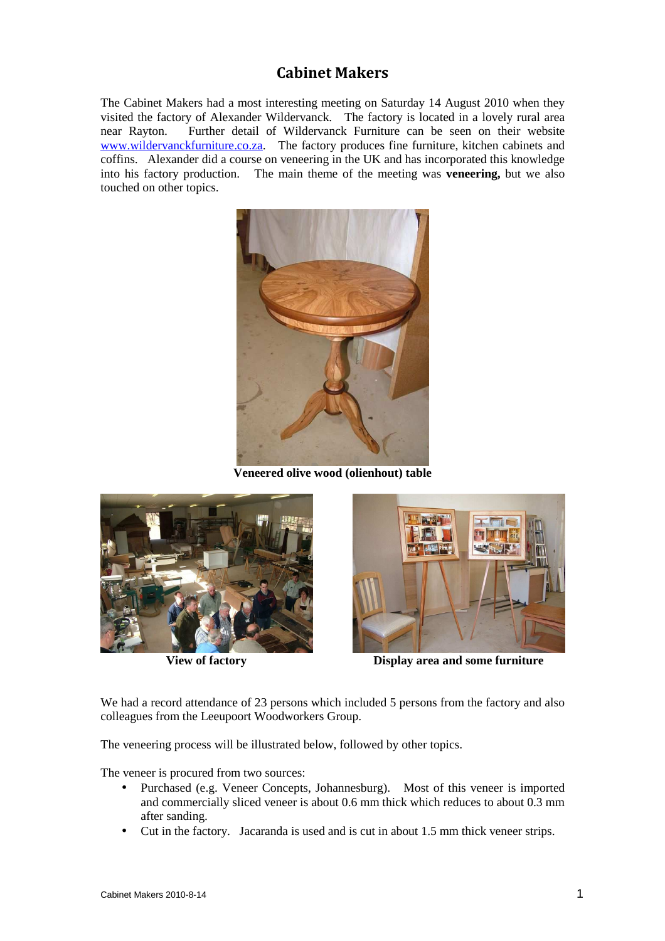## **Cabinet Makers**

The Cabinet Makers had a most interesting meeting on Saturday 14 August 2010 when they visited the factory of Alexander Wildervanck. The factory is located in a lovely rural area near Rayton. Further detail of Wildervanck Furniture can be seen on their website www.wildervanckfurniture.co.za. The factory produces fine furniture, kitchen cabinets and coffins. Alexander did a course on veneering in the UK and has incorporated this knowledge into his factory production. The main theme of the meeting was **veneering,** but we also touched on other topics.



**Veneered olive wood (olienhout) table** 





**View of factory Display area and some furniture** 

We had a record attendance of 23 persons which included 5 persons from the factory and also colleagues from the Leeupoort Woodworkers Group.

The veneering process will be illustrated below, followed by other topics.

The veneer is procured from two sources:

- Purchased (e.g. Veneer Concepts, Johannesburg). Most of this veneer is imported and commercially sliced veneer is about 0.6 mm thick which reduces to about 0.3 mm after sanding.
- Cut in the factory. Jacaranda is used and is cut in about 1.5 mm thick veneer strips.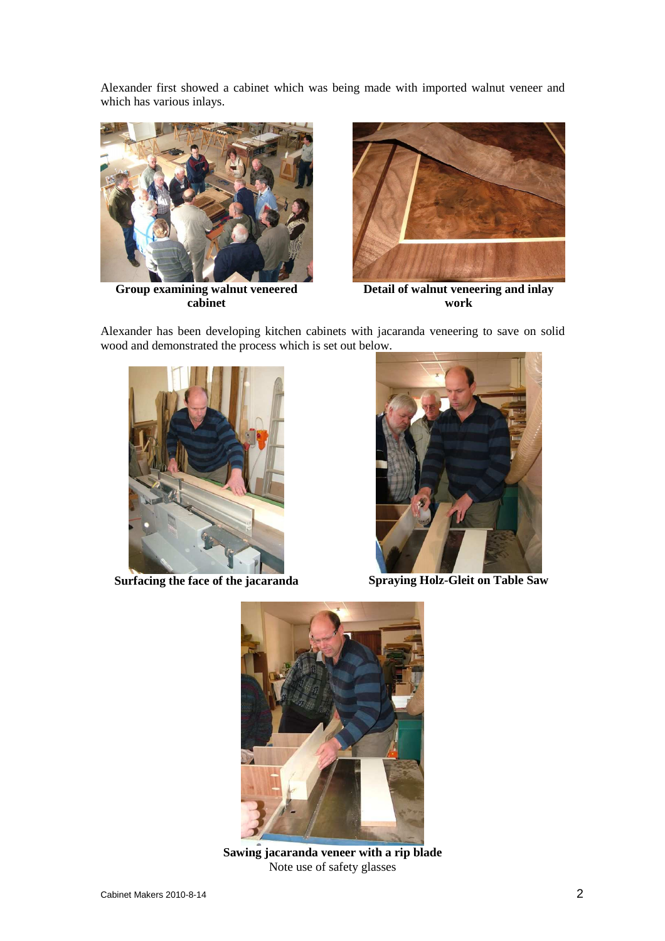Alexander first showed a cabinet which was being made with imported walnut veneer and which has various inlays.



**Group examining walnut veneered cabinet** 



**Detail of walnut veneering and inlay work** 

Alexander has been developing kitchen cabinets with jacaranda veneering to save on solid wood and demonstrated the process which is set out below.





**Surfacing the face of the jacaranda Spraying Holz-Gleit on Table Saw** 



**Sawing jacaranda veneer with a rip blade**  Note use of safety glasses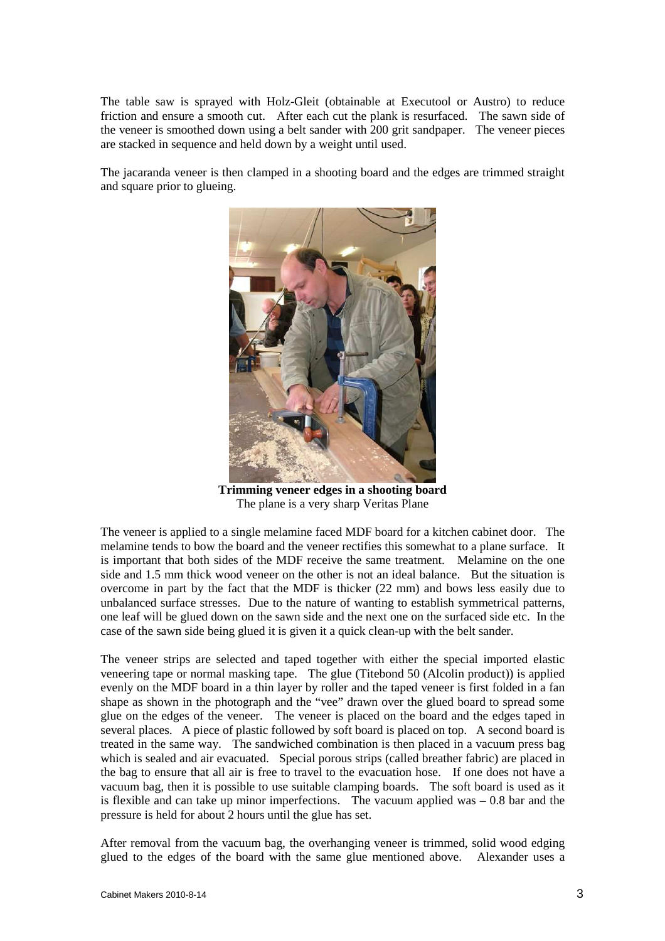The table saw is sprayed with Holz-Gleit (obtainable at Executool or Austro) to reduce friction and ensure a smooth cut. After each cut the plank is resurfaced. The sawn side of the veneer is smoothed down using a belt sander with 200 grit sandpaper. The veneer pieces are stacked in sequence and held down by a weight until used.

The jacaranda veneer is then clamped in a shooting board and the edges are trimmed straight and square prior to glueing.



**Trimming veneer edges in a shooting board**  The plane is a very sharp Veritas Plane

The veneer is applied to a single melamine faced MDF board for a kitchen cabinet door. The melamine tends to bow the board and the veneer rectifies this somewhat to a plane surface. It is important that both sides of the MDF receive the same treatment. Melamine on the one side and 1.5 mm thick wood veneer on the other is not an ideal balance. But the situation is overcome in part by the fact that the MDF is thicker (22 mm) and bows less easily due to unbalanced surface stresses. Due to the nature of wanting to establish symmetrical patterns, one leaf will be glued down on the sawn side and the next one on the surfaced side etc. In the case of the sawn side being glued it is given it a quick clean-up with the belt sander.

The veneer strips are selected and taped together with either the special imported elastic veneering tape or normal masking tape. The glue (Titebond 50 (Alcolin product)) is applied evenly on the MDF board in a thin layer by roller and the taped veneer is first folded in a fan shape as shown in the photograph and the "vee" drawn over the glued board to spread some glue on the edges of the veneer. The veneer is placed on the board and the edges taped in several places. A piece of plastic followed by soft board is placed on top. A second board is treated in the same way. The sandwiched combination is then placed in a vacuum press bag which is sealed and air evacuated. Special porous strips (called breather fabric) are placed in the bag to ensure that all air is free to travel to the evacuation hose. If one does not have a vacuum bag, then it is possible to use suitable clamping boards. The soft board is used as it is flexible and can take up minor imperfections. The vacuum applied was – 0.8 bar and the pressure is held for about 2 hours until the glue has set.

After removal from the vacuum bag, the overhanging veneer is trimmed, solid wood edging glued to the edges of the board with the same glue mentioned above. Alexander uses a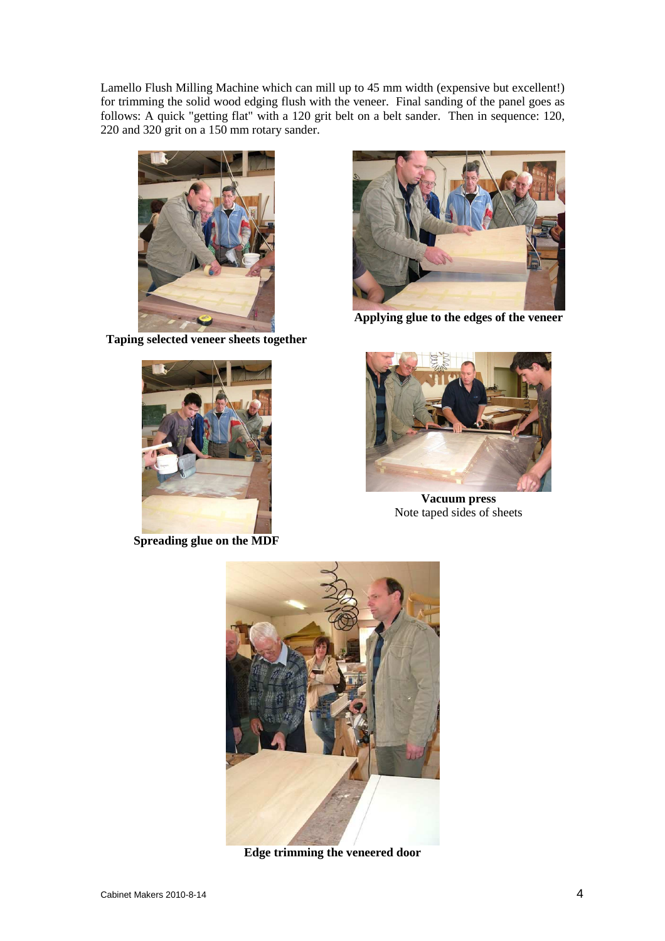Lamello Flush Milling Machine which can mill up to 45 mm width (expensive but excellent!) for trimming the solid wood edging flush with the veneer. Final sanding of the panel goes as follows: A quick "getting flat" with a 120 grit belt on a belt sander. Then in sequence: 120, 220 and 320 grit on a 150 mm rotary sander.



**Taping selected veneer sheets together** 



**Spreading glue on the MDF** 



**Applying glue to the edges of the veneer** 



**Vacuum press**  Note taped sides of sheets



**Edge trimming the veneered door**